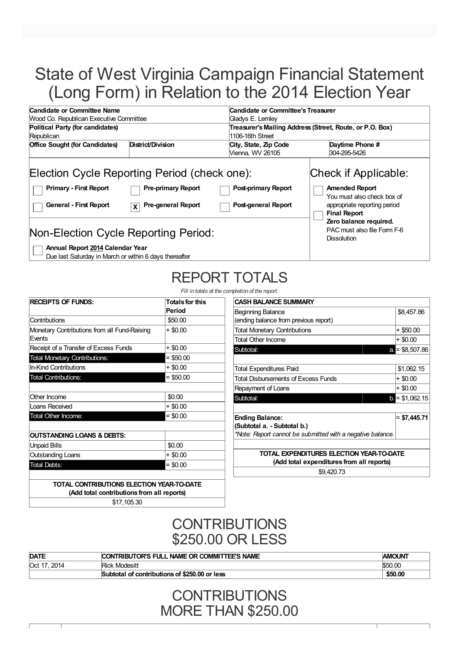## State of West Virginia Campaign Financial Statement (Long Form) in Relation to the 2014 Election Year

| Candidate or Committee Name                                                                                                                               |                                                             |                                                          | Candidate or Committee's Treasurer                                                                          |  |  |  |
|-----------------------------------------------------------------------------------------------------------------------------------------------------------|-------------------------------------------------------------|----------------------------------------------------------|-------------------------------------------------------------------------------------------------------------|--|--|--|
|                                                                                                                                                           | Wood Co. Republican Executive Committee<br>Gladys E. Lemley |                                                          |                                                                                                             |  |  |  |
| Political Party (for candidates)<br>1106-16th Street<br>Republican<br>District/Division<br><b>Office Sought (for Candidates)</b><br>City, State, Zip Code |                                                             |                                                          | Treasurer's Mailing Address (Street, Route, or P.O. Box)<br>Daytime Phone #                                 |  |  |  |
|                                                                                                                                                           |                                                             | Vienna, WV 26105                                         | 304-295-5426                                                                                                |  |  |  |
| Election Cycle Reporting Period (check one):<br><b>Primary - First Report</b><br><b>General - First Report</b>                                            | <b>Pre-primary Report</b><br><b>Pre-general Report</b><br>X | <b>Post-primary Report</b><br><b>Post-general Report</b> | Check if Applicable:<br><b>Amended Report</b><br>You must also check box of<br>appropriate reporting period |  |  |  |
|                                                                                                                                                           |                                                             |                                                          | <b>Final Report</b><br>Zero balance required.                                                               |  |  |  |
| Non-Election Cycle Reporting Period:                                                                                                                      |                                                             |                                                          | PAC must also file Form F-6<br><b>Dissolution</b>                                                           |  |  |  |
|                                                                                                                                                           |                                                             |                                                          |                                                                                                             |  |  |  |

**Annual Report 2014 Calendar Year** Due last Saturday in March or within 6 days thereafter

# REPORT TOTALS

*Fill in totals at the completion of the report.*

| <b>RECEIPTS OF FUNDS:</b>                              | <b>Totals for this</b><br>Period |
|--------------------------------------------------------|----------------------------------|
| Contributions                                          | \$50.00                          |
| Monetary Contributions from all Fund-Raising<br>Events | $+$ \$0.00                       |
| Receipt of a Transfer of Excess Funds                  | + \$0.00                         |
| <b>Total Monetary Contributions:</b>                   | $=$ \$50.00                      |
| In-Kind Contributions                                  | $+$ \$0.00                       |
| <b>Total Contributions:</b>                            | $=$ \$50.00                      |
| Other Income                                           | \$0.00                           |
| Loans Received                                         | + \$0.00                         |
| Total Other Income:                                    | $= $0.00$                        |
| <b>OUTSTANDING LOANS &amp; DEBTS:</b>                  |                                  |
| <b>Unpaid Bills</b>                                    | \$0.00                           |
| Outstanding Loans                                      | + \$0.00                         |
|                                                        | $= $0.00$                        |

**(Add total contributions from all reports)** \$17,105.30

| )letion of the report.                                     |                 |
|------------------------------------------------------------|-----------------|
| <b>CASH BALANCE SUMMARY</b>                                |                 |
| Beginning Balance                                          | \$8,457.86      |
| (ending balance from previous report)                      |                 |
| <b>Total Monetary Contributions</b>                        | + \$50.00       |
| <b>Total Other Income</b>                                  | $+$ \$0.00      |
| Subtotal:                                                  | $a = $8,507.86$ |
|                                                            |                 |
| Total Expenditures Paid                                    | \$1,062.15      |
| Total Disbursements of Excess Funds                        | + \$0.00        |
| Repayment of Loans                                         | $+$ \$0.00      |
| Subtotal:                                                  | $b = $1,062.15$ |
|                                                            |                 |
| <b>Ending Balance:</b>                                     | $= $7,445.71$   |
| (Subtotal a. - Subtotal b.)                                |                 |
| *Note: Report cannot be submitted with a negative balance. |                 |
|                                                            |                 |
| TOTAL EXPENDITURES ELECTION YEAR-TO-DATE                   |                 |
| (Add total expenditures from all reports)                  |                 |
|                                                            |                 |

\$9,420.73

**CONTRIBUTIONS** \$250.00 OR LESS

| <b>DATE</b>            | CONTRIBUTOR'S FULL NAME OR COMMITTEE'S NAME   | <b>AMOUNT</b> |
|------------------------|-----------------------------------------------|---------------|
| <b>Oct 17.</b><br>2014 | Rick Modesitt                                 | \$50.00       |
|                        | Subtotal of contributions of \$250.00 or less | \$50.00       |

**CONTRIBUTIONS** MORE THAN \$250.00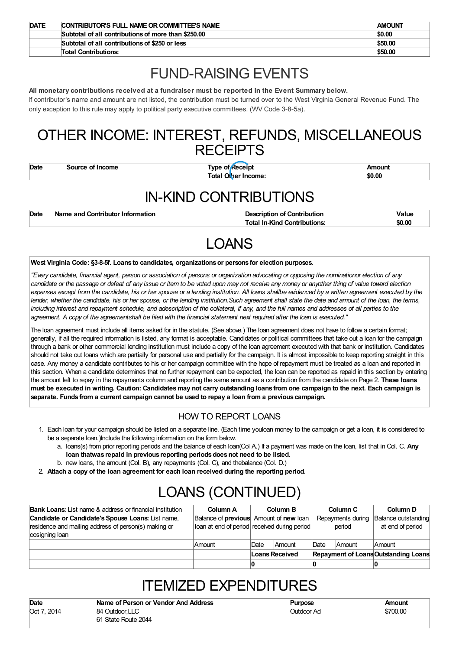| <b>DATE</b> | CONTRIBUTOR'S FULL NAME OR COMMITTEE'S NAME         | <b>AMOUNT</b> |
|-------------|-----------------------------------------------------|---------------|
|             | Subtotal of all contributions of more than \$250,00 | \$0.00        |
|             | Subtotal of all contributions of \$250 or less      | \$50.00       |
|             | <b>Total Contributions:</b>                         | \$50.00       |

### FUND-RAISING EVENTS

#### **All monetary contributions received at a fundraiser must be reported in the Event Summary below.**

If contributor's name and amount are not listed, the contribution must be turned over to the West Virginia General Revenue Fund. The only exception to this rule may apply to political party executive committees. (WV Code 3-8-5a).

### OTHER INCOME: INTEREST, REFUNDS, MISCELLANEOUS **RECEIPTS**

**Date Source of Income Type of Receipt Amount Total Other Income: \$0.00**

### IN-KIND CONTRIBUTIONS

| Date | Name and Contributor Information | <b>Description of Contribution</b>  | Value  |
|------|----------------------------------|-------------------------------------|--------|
|      |                                  | <b>Total In-Kind Contributions:</b> | \$0.00 |

## LOANS

#### **West Virginia Code: §3-8-5f. Loans to candidates, organizationsor persons for election purposes.**

"Every candidate, financial agent, person or association of persons or organization advocating or opposing the nominationor election of any candidate or the passage or defeat of any issue or item to be voted upon may not receive any money or anyother thing of value toward election expenses except from the candidate, his or her spouse or a lending institution. All loans shallbe evidenced by a written agreement executed by the lender, whether the candidate, his or her spouse, or the lending institution. Such agreement shall state the date and amount of the loan, the terms, including interest and repayment schedule, and adescription of the collateral, if any, and the full names and addresses of all parties to the agreement. A copy of the agreementshall be filed with the financial statement next required after the loan is executed."

The loan agreement must include all items asked for in the statute. (See above.) The loan agreement does not have to follow a certain format; generally, if all the required information is listed, any format is acceptable. Candidates or political committees that take out a loan for the campaign through a bank or other commercial lending institution must include a copy of the loan agreement executed with that bank or institution. Candidates should not take out loans which are partially for personal use and partially for the campaign. It is almost impossible to keep reporting straight in this case. Any money a candidate contributes to his or her campaign committee with the hope of repayment must be treated as a loan and reported in this section. When a candidate determines that no further repayment can be expected, the loan can be reported as repaid in this section by entering the amount left to repay in the repayments column and reporting the same amount as a contribution from the candidate on Page 2. **These loans** must be executed in writing. Caution: Candidates may not carry outstanding loans from one campaign to the next. Each campaign is **separate. Funds from a current campaign cannot be used to repay a loan from a previous campaign.**

### HOW TO REPORT LOANS

- 1. Each loan for your campaign should be listed on a separate line. (Each time youloan money to the campaign or get a loan, it is considered to be a separate loan.)Include the following information on the form below.
	- a. loans(s) from prior reporting periods and the balance of each loan(Col A.) If a payment was made on the loan, list that in Col. C. **Any loan thatwas repaid in previous reporting periodsdoesnot need to be listed.**
	- b. new loans, the amount (Col. B), any repayments (Col. C), and thebalance (Col. D.)
- 2. **Attach a copy of the loan agreement for each loan received during the reporting period.**

## LOANS (CONTINUED)

| <b>Bank Loans:</b> List name & address or financial institution | Column A                                      |                | Column B      |             | Column <sub>C</sub> | Column D                                    |
|-----------------------------------------------------------------|-----------------------------------------------|----------------|---------------|-------------|---------------------|---------------------------------------------|
| Candidate or Candidate's Spouse Loans: List name,               | Balance of <b>previous</b> Amount of new loan |                |               |             | Repayments during   | Balance outstanding                         |
| residence and mailing address of person(s) making or            | loan at end of period received during period  |                |               |             | period              | at end of period                            |
| cosigning loan                                                  |                                               |                |               |             |                     |                                             |
|                                                                 | Amount                                        | Date           | <b>Amount</b> | <b>Date</b> | Amount              | <b>Amount</b>                               |
|                                                                 |                                               | Loans Received |               |             |                     | <b>Repayment of Loans Outstanding Loans</b> |
|                                                                 |                                               |                |               |             |                     |                                             |

### **ITEMIZED EXPENDITURES**

Outdoor Ad \$700.00